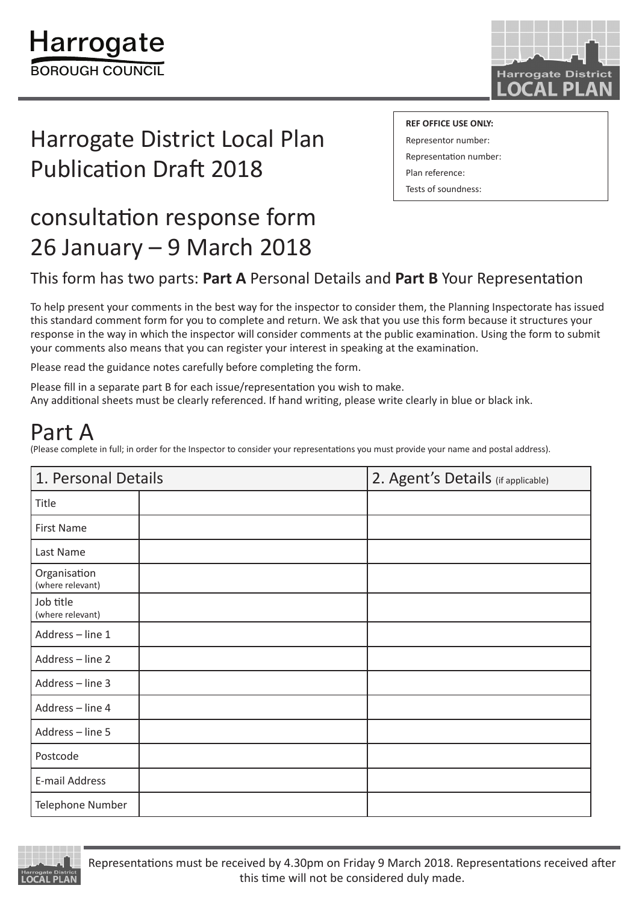

# Harrogate District Local Plan Publication Draft 2018

**REF OFFICE USE ONLY:**

Representor number: Representation number: Plan reference: Tests of soundness:

# consultation response form 26 January – 9 March 2018

### This form has two parts: **Part A** Personal Details and **Part B** Your Representation

To help present your comments in the best way for the inspector to consider them, the Planning Inspectorate has issued this standard comment form for you to complete and return. We ask that you use this form because it structures your response in the way in which the inspector will consider comments at the public examination. Using the form to submit your comments also means that you can register your interest in speaking at the examination.

Please read the guidance notes carefully before completing the form.

Please fill in a separate part B for each issue/representation you wish to make. Any additional sheets must be clearly referenced. If hand writing, please write clearly in blue or black ink.

## Part A

(Please complete in full; in order for the Inspector to consider your representations you must provide your name and postal address).

| 1. Personal Details              |  | 2. Agent's Details (if applicable) |
|----------------------------------|--|------------------------------------|
| Title                            |  |                                    |
| <b>First Name</b>                |  |                                    |
| Last Name                        |  |                                    |
| Organisation<br>(where relevant) |  |                                    |
| Job title<br>(where relevant)    |  |                                    |
| Address - line 1                 |  |                                    |
| Address - line 2                 |  |                                    |
| Address - line 3                 |  |                                    |
| Address - line 4                 |  |                                    |
| Address - line 5                 |  |                                    |
| Postcode                         |  |                                    |
| E-mail Address                   |  |                                    |
| Telephone Number                 |  |                                    |

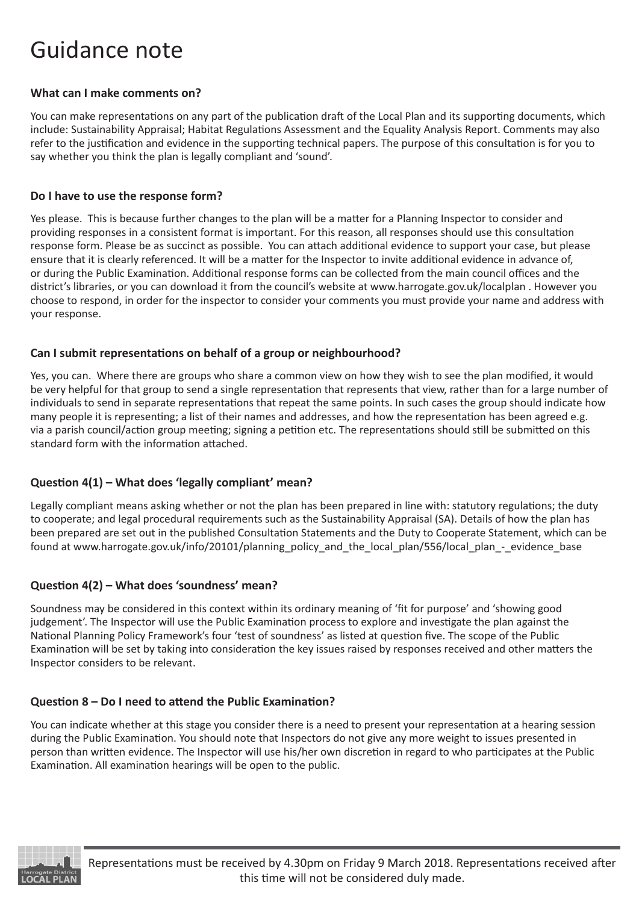## Guidance note

#### **What can I make comments on?**

You can make representations on any part of the publication draft of the Local Plan and its supporting documents, which include: Sustainability Appraisal; Habitat Regulations Assessment and the Equality Analysis Report. Comments may also refer to the justification and evidence in the supporting technical papers. The purpose of this consultation is for you to say whether you think the plan is legally compliant and 'sound'.

#### **Do I have to use the response form?**

Yes please. This is because further changes to the plan will be a matter for a Planning Inspector to consider and providing responses in a consistent format is important. For this reason, all responses should use this consultation response form. Please be as succinct as possible. You can attach additional evidence to support your case, but please ensure that it is clearly referenced. It will be a matter for the Inspector to invite additional evidence in advance of, or during the Public Examination. Additional response forms can be collected from the main council offices and the district's libraries, or you can download it from the council's website at www.harrogate.gov.uk/localplan . However you choose to respond, in order for the inspector to consider your comments you must provide your name and address with your response.

#### **Can I submit representations on behalf of a group or neighbourhood?**

Yes, you can. Where there are groups who share a common view on how they wish to see the plan modified, it would be very helpful for that group to send a single representation that represents that view, rather than for a large number of individuals to send in separate representations that repeat the same points. In such cases the group should indicate how many people it is representing; a list of their names and addresses, and how the representation has been agreed e.g. via a parish council/action group meeting; signing a petition etc. The representations should still be submitted on this standard form with the information attached.

#### **Question 4(1) – What does 'legally compliant' mean?**

Legally compliant means asking whether or not the plan has been prepared in line with: statutory regulations; the duty to cooperate; and legal procedural requirements such as the Sustainability Appraisal (SA). Details of how the plan has been prepared are set out in the published Consultation Statements and the Duty to Cooperate Statement, which can be found at www.harrogate.gov.uk/info/20101/planning\_policy\_and\_the\_local\_plan/556/local\_plan\_-\_evidence\_base

#### **Question 4(2) – What does 'soundness' mean?**

Soundness may be considered in this context within its ordinary meaning of 'fit for purpose' and 'showing good judgement'. The Inspector will use the Public Examination process to explore and investigate the plan against the National Planning Policy Framework's four 'test of soundness' as listed at question five. The scope of the Public Examination will be set by taking into consideration the key issues raised by responses received and other matters the Inspector considers to be relevant.

#### **Question 8 – Do I need to attend the Public Examination?**

You can indicate whether at this stage you consider there is a need to present your representation at a hearing session during the Public Examination. You should note that Inspectors do not give any more weight to issues presented in person than written evidence. The Inspector will use his/her own discretion in regard to who participates at the Public Examination. All examination hearings will be open to the public.

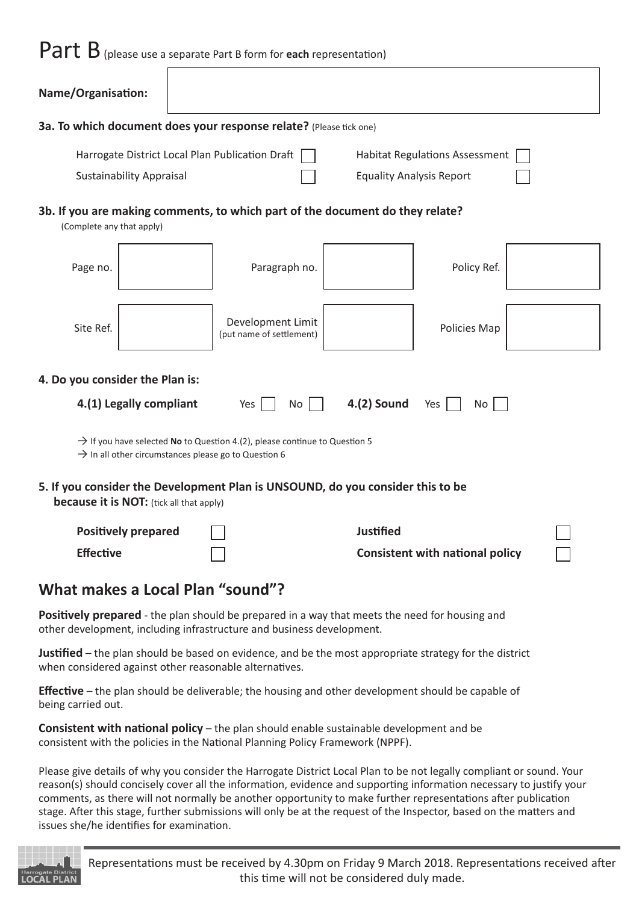# Part B (please use a separate Part B form for **each** representation)

| Name/Organisation:                                                                                                                                                                                                                                                                                                                                                                                                                                                                                                               |                                 |  |                                                                                                                                                                                  |                  |                                        |  |
|----------------------------------------------------------------------------------------------------------------------------------------------------------------------------------------------------------------------------------------------------------------------------------------------------------------------------------------------------------------------------------------------------------------------------------------------------------------------------------------------------------------------------------|---------------------------------|--|----------------------------------------------------------------------------------------------------------------------------------------------------------------------------------|------------------|----------------------------------------|--|
|                                                                                                                                                                                                                                                                                                                                                                                                                                                                                                                                  |                                 |  | 3a. To which document does your response relate? (Please tick one)                                                                                                               |                  |                                        |  |
|                                                                                                                                                                                                                                                                                                                                                                                                                                                                                                                                  |                                 |  | Harrogate District Local Plan Publication Draft                                                                                                                                  |                  | <b>Habitat Regulations Assessment</b>  |  |
|                                                                                                                                                                                                                                                                                                                                                                                                                                                                                                                                  | <b>Sustainability Appraisal</b> |  |                                                                                                                                                                                  |                  | <b>Equality Analysis Report</b>        |  |
| (Complete any that apply)                                                                                                                                                                                                                                                                                                                                                                                                                                                                                                        |                                 |  | 3b. If you are making comments, to which part of the document do they relate?                                                                                                    |                  |                                        |  |
| Page no.                                                                                                                                                                                                                                                                                                                                                                                                                                                                                                                         |                                 |  | Paragraph no.                                                                                                                                                                    |                  | Policy Ref.                            |  |
| Site Ref.                                                                                                                                                                                                                                                                                                                                                                                                                                                                                                                        |                                 |  | Development Limit<br>(put name of settlement)                                                                                                                                    |                  | Policies Map                           |  |
| 4. Do you consider the Plan is:                                                                                                                                                                                                                                                                                                                                                                                                                                                                                                  |                                 |  |                                                                                                                                                                                  |                  |                                        |  |
|                                                                                                                                                                                                                                                                                                                                                                                                                                                                                                                                  | 4.(1) Legally compliant         |  | Yes<br><b>No</b>                                                                                                                                                                 | $4.(2)$ Sound    | Yes<br>No                              |  |
| $\rightarrow$ If you have selected No to Question 4.(2), please continue to Question 5<br>$\rightarrow$ In all other circumstances please go to Question 6<br>5. If you consider the Development Plan is UNSOUND, do you consider this to be                                                                                                                                                                                                                                                                                     |                                 |  |                                                                                                                                                                                  |                  |                                        |  |
| <b>because it is NOT:</b> (tick all that apply)                                                                                                                                                                                                                                                                                                                                                                                                                                                                                  | <b>Positively prepared</b>      |  |                                                                                                                                                                                  | <b>Justified</b> |                                        |  |
| <b>Effective</b>                                                                                                                                                                                                                                                                                                                                                                                                                                                                                                                 |                                 |  |                                                                                                                                                                                  |                  | <b>Consistent with national policy</b> |  |
|                                                                                                                                                                                                                                                                                                                                                                                                                                                                                                                                  |                                 |  |                                                                                                                                                                                  |                  |                                        |  |
| What makes a Local Plan "sound"?                                                                                                                                                                                                                                                                                                                                                                                                                                                                                                 |                                 |  |                                                                                                                                                                                  |                  |                                        |  |
|                                                                                                                                                                                                                                                                                                                                                                                                                                                                                                                                  |                                 |  | Positively prepared - the plan should be prepared in a way that meets the need for housing and<br>other development, including infrastructure and business development.          |                  |                                        |  |
| Justified – the plan should be based on evidence, and be the most appropriate strategy for the district<br>when considered against other reasonable alternatives.                                                                                                                                                                                                                                                                                                                                                                |                                 |  |                                                                                                                                                                                  |                  |                                        |  |
| <b>Effective</b> – the plan should be deliverable; the housing and other development should be capable of<br>being carried out.                                                                                                                                                                                                                                                                                                                                                                                                  |                                 |  |                                                                                                                                                                                  |                  |                                        |  |
|                                                                                                                                                                                                                                                                                                                                                                                                                                                                                                                                  |                                 |  | <b>Consistent with national policy</b> – the plan should enable sustainable development and be<br>consistent with the policies in the National Planning Policy Framework (NPPF). |                  |                                        |  |
| Please give details of why you consider the Harrogate District Local Plan to be not legally compliant or sound. Your<br>reason(s) should concisely cover all the information, evidence and supporting information necessary to justify your<br>comments, as there will not normally be another opportunity to make further representations after publication<br>stage. After this stage, further submissions will only be at the request of the Inspector, based on the matters and<br>issues she/he identifies for examination. |                                 |  |                                                                                                                                                                                  |                  |                                        |  |

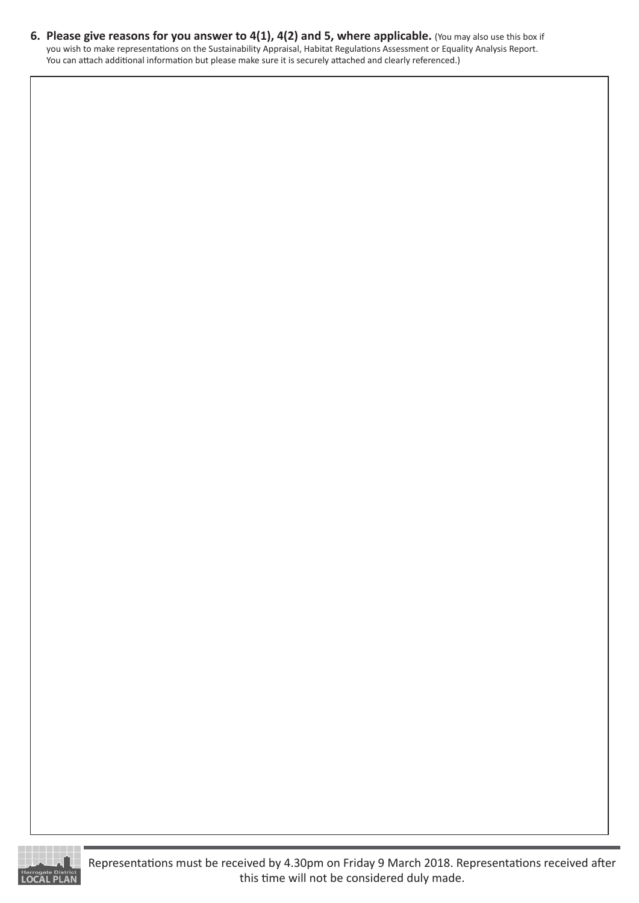**6. Please give reasons for you answer to 4(1), 4(2) and 5, where applicable.** (You may also use this box if you wish to make representations on the Sustainability Appraisal, Habitat Regulations Assessment or Equality Analysis Report. You can attach additional information but please make sure it is securely attached and clearly referenced.)

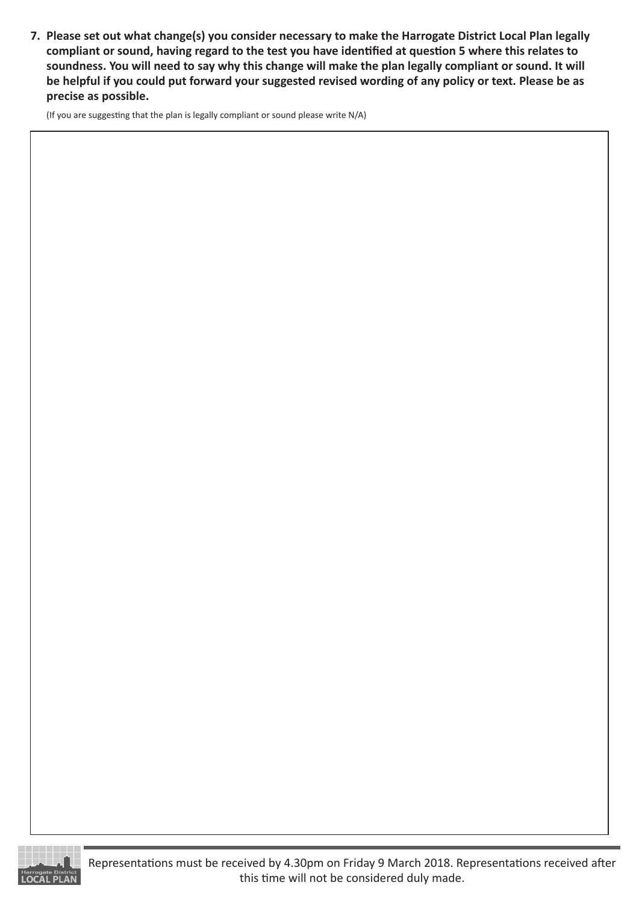**7. Please set out what change(s) you consider necessary to make the Harrogate District Local Plan legally compliant or sound, having regard to the test you have identified at question 5 where this relates to soundness. You will need to say why this change will make the plan legally compliant or sound. It will be helpful if you could put forward your suggested revised wording of any policy or text. Please be as precise as possible.**

(If you are suggesting that the plan is legally compliant or sound please write N/A)



Representations must be received by 4.30pm on Friday 9 March 2018. Representations received after this time will not be considered duly made.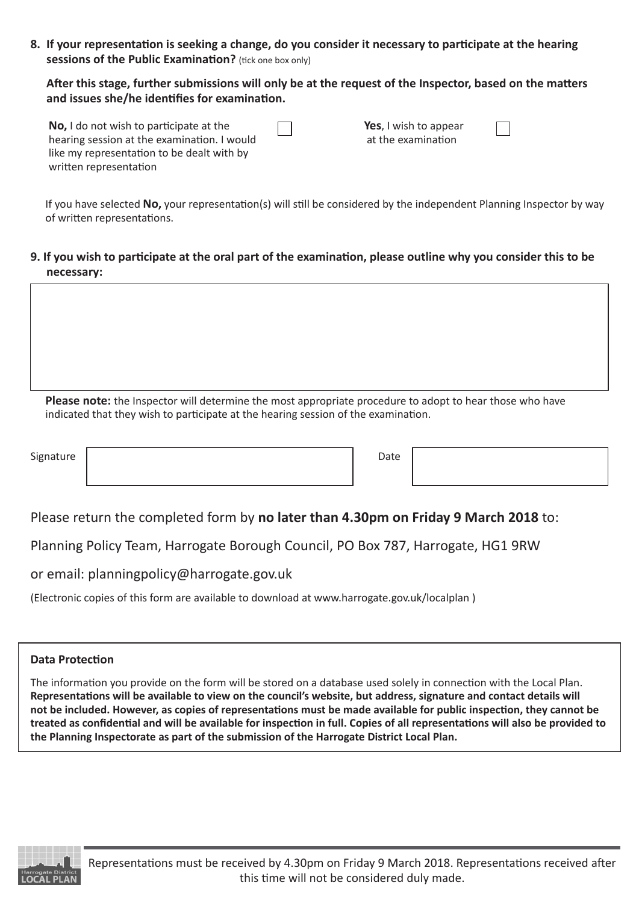**8. If your representation is seeking a change, do you consider it necessary to participate at the hearing sessions of the Public Examination?** (tick one box only)

**After this stage, further submissions will only be at the request of the Inspector, based on the matters and issues she/he identifies for examination.**

| No, I do not wish to participate at the     |
|---------------------------------------------|
| hearing session at the examination. I would |
| like my representation to be dealt with by  |
| written representation                      |

**Yes**, I wish to appear at the examination

If you have selected **No,** your representation(s) will still be considered by the independent Planning Inspector by way of written representations.

**9. If you wish to participate at the oral part of the examination, please outline why you consider this to be necessary:**

**Please note:** the Inspector will determine the most appropriate procedure to adopt to hear those who have indicated that they wish to participate at the hearing session of the examination.

Signature | Date | Date | Date | Date | Date | Date | Date | Date | Date | Date | Date | Date | Date | Date | Date | Date | Date | Date | Date | Date | Date | Date | Date | Date | Date | Date | Date | Date | Date | Date |

I

Please return the completed form by **no later than 4.30pm on Friday 9 March 2018** to:

Planning Policy Team, Harrogate Borough Council, PO Box 787, Harrogate, HG1 9RW

or email: planningpolicy@harrogate.gov.uk

(Electronic copies of this form are available to download at www.harrogate.gov.uk/localplan )

#### **Data Protection**

The information you provide on the form will be stored on a database used solely in connection with the Local Plan. **Representations will be available to view on the council's website, but address, signature and contact details will not be included. However, as copies of representations must be made available for public inspection, they cannot be treated as confidential and will be available for inspection in full. Copies of all representations will also be provided to the Planning Inspectorate as part of the submission of the Harrogate District Local Plan.**

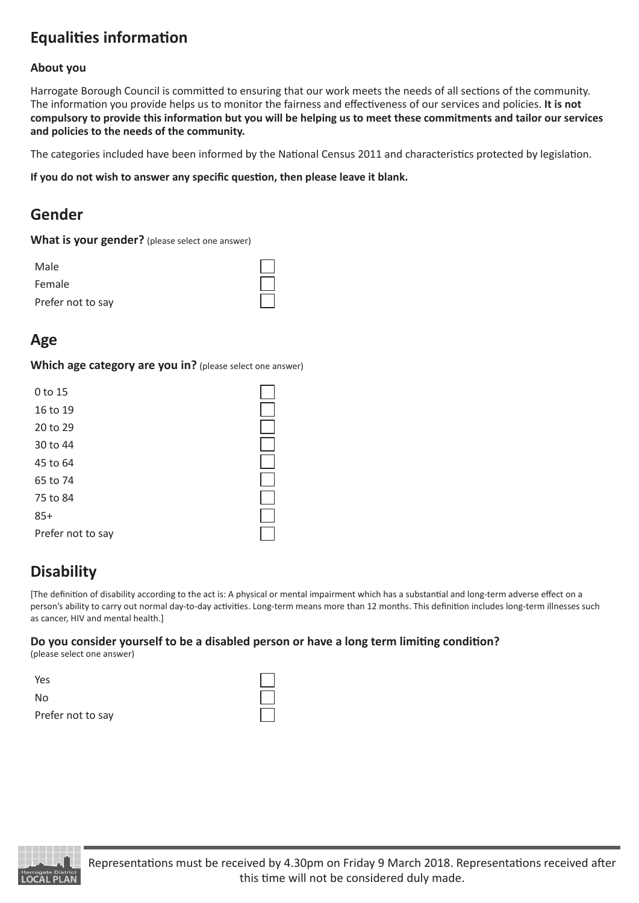### **Equalities information**

#### **About you**

Harrogate Borough Council is committed to ensuring that our work meets the needs of all sections of the community. The information you provide helps us to monitor the fairness and effectiveness of our services and policies. **It is not compulsory to provide this information but you will be helping us to meet these commitments and tailor our services and policies to the needs of the community.** 

The categories included have been informed by the National Census 2011 and characteristics protected by legislation.

**If you do not wish to answer any specific question, then please leave it blank.**

### **Gender**

| What is your gender? (please select one answer) |  |
|-------------------------------------------------|--|
|-------------------------------------------------|--|

| Male              |  |
|-------------------|--|
| Female            |  |
| Prefer not to say |  |

### **Age**

**Which age category are you in?** (please select one answer)

| 0 to 15           |  |
|-------------------|--|
| 16 to 19          |  |
| 20 to 29          |  |
| 30 to 44          |  |
| 45 to 64          |  |
| 65 to 74          |  |
| 75 to 84          |  |
| $85+$             |  |
| Prefer not to say |  |

### **Disability**

[The definition of disability according to the act is: A physical or mental impairment which has a substantial and long-term adverse effect on a person's ability to carry out normal day-to-day activities. Long-term means more than 12 months. This definition includes long-term illnesses such as cancer, HIV and mental health.]

### **Do you consider yourself to be a disabled person or have a long term limiting condition?**

(please select one answer)

| Yes               |  |
|-------------------|--|
| No                |  |
| Prefer not to say |  |